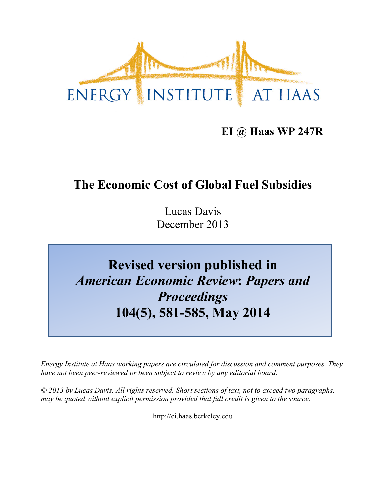

## **EI @ Haas WP 247R**

## **The Economic Cost of Global Fuel Subsidies**

Lucas Davis December 2013

# **Revised version published in** *American Economic Review***:** *Papers and Proceedings* **104(5), 581-585, May 2014**

*Energy Institute at Haas working papers are circulated for discussion and comment purposes. They have not been peer-reviewed or been subject to review by any editorial board.*

*© 2013 by Lucas Davis. All rights reserved. Short sections of text, not to exceed two paragraphs, may be quoted without explicit permission provided that full credit is given to the source.*

http://ei.haas.berkeley.edu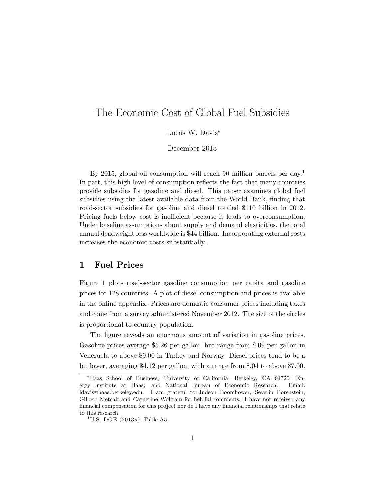### The Economic Cost of Global Fuel Subsidies

Lucas W. Davis<sup>\*</sup>

December 2013

By 2015, global oil consumption will reach 90 million barrels per day.<sup>1</sup> In part, this high level of consumption reflects the fact that many countries provide subsidies for gasoline and diesel. This paper examines global fuel subsidies using the latest available data from the World Bank, finding that road-sector subsidies for gasoline and diesel totaled \$110 billion in 2012. Pricing fuels below cost is inefficient because it leads to overconsumption. Under baseline assumptions about supply and demand elasticities, the total annual deadweight loss worldwide is \$44 billion. Incorporating external costs increases the economic costs substantially.

#### 1 Fuel Prices

Figure 1 plots road-sector gasoline consumption per capita and gasoline prices for 128 countries. A plot of diesel consumption and prices is available in the online appendix. Prices are domestic consumer prices including taxes and come from a survey administered November 2012. The size of the circles is proportional to country population.

The figure reveals an enormous amount of variation in gasoline prices. Gasoline prices average \$5.26 per gallon, but range from \$.09 per gallon in Venezuela to above \$9.00 in Turkey and Norway. Diesel prices tend to be a bit lower, averaging \$4.12 per gallon, with a range from \$.04 to above \$7.00.

<sup>⇤</sup>Haas School of Business, University of California, Berkeley, CA 94720; Energy Institute at Haas; and National Bureau of Economic Research. Email: ldavis@haas.berkeley.edu. I am grateful to Judson Boomhower, Severin Borenstein, Gilbert Metcalf and Catherine Wolfram for helpful comments. I have not received any financial compensation for this project nor do I have any financial relationships that relate to this research.

 $1^1$ U.S. DOE (2013A), Table A5.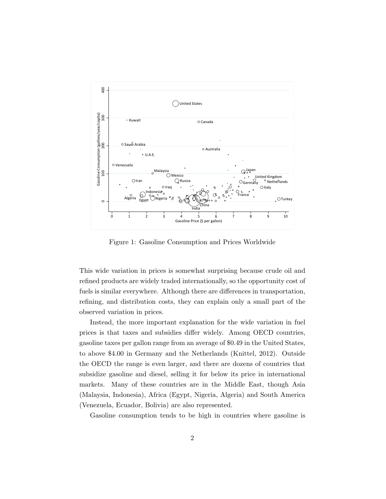

Figure 1: Gasoline Consumption and Prices Worldwide

This wide variation in prices is somewhat surprising because crude oil and refined products are widely traded internationally, so the opportunity cost of fuels is similar everywhere. Although there are differences in transportation, refining, and distribution costs, they can explain only a small part of the observed variation in prices.

Instead, the more important explanation for the wide variation in fuel prices is that taxes and subsidies differ widely. Among OECD countries, gasoline taxes per gallon range from an average of \$0.49 in the United States, to above \$4.00 in Germany and the Netherlands (Knittel, 2012). Outside the OECD the range is even larger, and there are dozens of countries that subsidize gasoline and diesel, selling it for below its price in international markets. Many of these countries are in the Middle East, though Asia (Malaysia, Indonesia), Africa (Egypt, Nigeria, Algeria) and South America (Venezuela, Ecuador, Bolivia) are also represented.

Gasoline consumption tends to be high in countries where gasoline is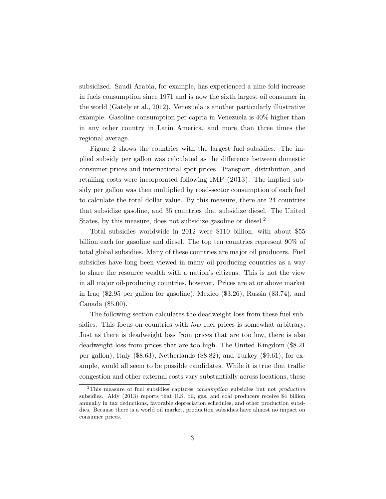subsidized. Saudi Arabia, for example, has experienced a nine-fold increase in fuels consumption since 1971 and is now the sixth largest oil consumer in the world (Gately et al., 2012). Venezuela is another particularly illustrative example. Gasoline consumption per capita in Venezuela is 40% higher than in any other country in Latin America, and more than three times the regional average.

Figure 2 shows the countries with the largest fuel subsidies. The implied subsidy per gallon was calculated as the difference between domestic consumer prices and international spot prices. Transport, distribution, and retailing costs were incorporated following IMF (2013). The implied subsidy per gallon was then multiplied by road-sector consumption of each fuel to calculate the total dollar value. By this measure, there are 24 countries that subsidize gasoline, and 35 countries that subsidize diesel. The United States, by this measure, does not subsidize gasoline or diesel.<sup>2</sup>

Total subsidies worldwide in 2012 were \$110 billion, with about \$55 billion each for gasoline and diesel. The top ten countries represent 90% of total global subsidies. Many of these countries are major oil producers. Fuel subsidies have long been viewed in many oil-producing countries as a way to share the resource wealth with a nation's citizens. This is not the view in all major oil-producing countries, however. Prices are at or above market in Iraq (\$2.95 per gallon for gasoline), Mexico (\$3.26), Russia (\$3.74), and Canada (\$5.00).

The following section calculates the deadweight loss from these fuel subsidies. This focus on countries with *low* fuel prices is somewhat arbitrary. Just as there is deadweight loss from prices that are too low, there is also deadweight loss from prices that are too high. The United Kingdom (\$8.21 per gallon), Italy (\$8.63), Netherlands (\$8.82), and Turkey (\$9.61), for example, would all seem to be possible candidates. While it is true that traffic congestion and other external costs vary substantially across locations, these

<sup>2</sup>This measure of fuel subsidies captures *consumption* subsidies but not *production* subsidies. Aldy (2013) reports that U.S. oil, gas, and coal producers receive \$4 billion annually in tax deductions, favorable depreciation schedules, and other production subsidies. Because there is a world oil market, production subsidies have almost no impact on consumer prices.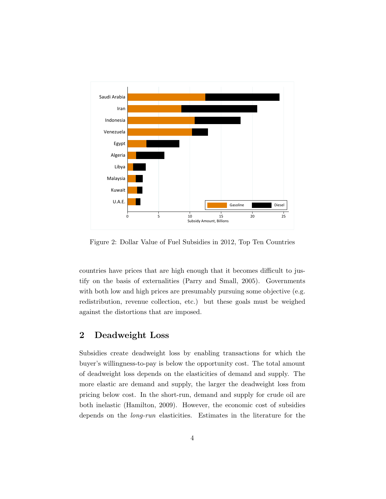

Figure 2: Dollar Value of Fuel Subsidies in 2012, Top Ten Countries

countries have prices that are high enough that it becomes difficult to justify on the basis of externalities (Parry and Small, 2005). Governments with both low and high prices are presumably pursuing some objective (e.g. redistribution, revenue collection, etc.) but these goals must be weighed against the distortions that are imposed.

#### 2 Deadweight Loss

Subsidies create deadweight loss by enabling transactions for which the buyer's willingness-to-pay is below the opportunity cost. The total amount of deadweight loss depends on the elasticities of demand and supply. The more elastic are demand and supply, the larger the deadweight loss from pricing below cost. In the short-run, demand and supply for crude oil are both inelastic (Hamilton, 2009). However, the economic cost of subsidies depends on the *long-run* elasticities. Estimates in the literature for the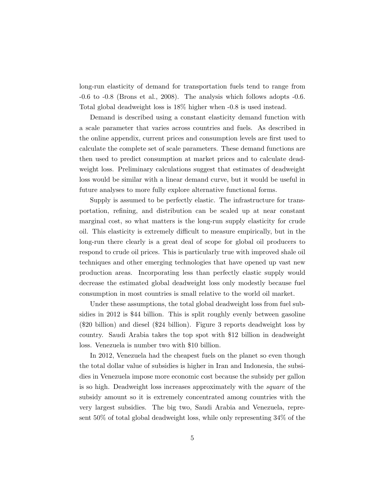long-run elasticity of demand for transportation fuels tend to range from -0.6 to -0.8 (Brons et al., 2008). The analysis which follows adopts -0.6. Total global deadweight loss is 18% higher when -0.8 is used instead.

Demand is described using a constant elasticity demand function with a scale parameter that varies across countries and fuels. As described in the online appendix, current prices and consumption levels are first used to calculate the complete set of scale parameters. These demand functions are then used to predict consumption at market prices and to calculate deadweight loss. Preliminary calculations suggest that estimates of deadweight loss would be similar with a linear demand curve, but it would be useful in future analyses to more fully explore alternative functional forms.

Supply is assumed to be perfectly elastic. The infrastructure for transportation, refining, and distribution can be scaled up at near constant marginal cost, so what matters is the long-run supply elasticity for crude oil. This elasticity is extremely difficult to measure empirically, but in the long-run there clearly is a great deal of scope for global oil producers to respond to crude oil prices. This is particularly true with improved shale oil techniques and other emerging technologies that have opened up vast new production areas. Incorporating less than perfectly elastic supply would decrease the estimated global deadweight loss only modestly because fuel consumption in most countries is small relative to the world oil market.

Under these assumptions, the total global deadweight loss from fuel subsidies in 2012 is \$44 billion. This is split roughly evenly between gasoline (\$20 billion) and diesel (\$24 billion). Figure 3 reports deadweight loss by country. Saudi Arabia takes the top spot with \$12 billion in deadweight loss. Venezuela is number two with \$10 billion.

In 2012, Venezuela had the cheapest fuels on the planet so even though the total dollar value of subsidies is higher in Iran and Indonesia, the subsidies in Venezuela impose more economic cost because the subsidy per gallon is so high. Deadweight loss increases approximately with the *square* of the subsidy amount so it is extremely concentrated among countries with the very largest subsidies. The big two, Saudi Arabia and Venezuela, represent 50% of total global deadweight loss, while only representing 34% of the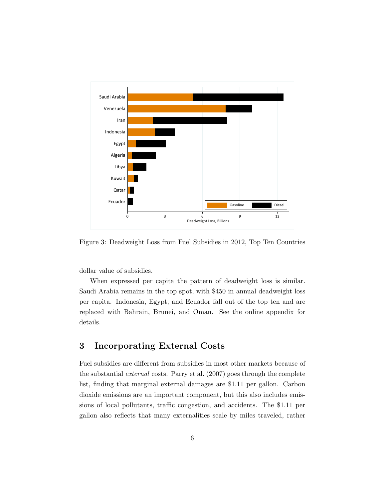

Figure 3: Deadweight Loss from Fuel Subsidies in 2012, Top Ten Countries

dollar value of subsidies.

When expressed per capita the pattern of deadweight loss is similar. Saudi Arabia remains in the top spot, with \$450 in annual deadweight loss per capita. Indonesia, Egypt, and Ecuador fall out of the top ten and are replaced with Bahrain, Brunei, and Oman. See the online appendix for details.

#### 3 Incorporating External Costs

Fuel subsidies are different from subsidies in most other markets because of the substantial *external* costs. Parry et al. (2007) goes through the complete list, finding that marginal external damages are \$1.11 per gallon. Carbon dioxide emissions are an important component, but this also includes emissions of local pollutants, traffic congestion, and accidents. The \$1.11 per gallon also reflects that many externalities scale by miles traveled, rather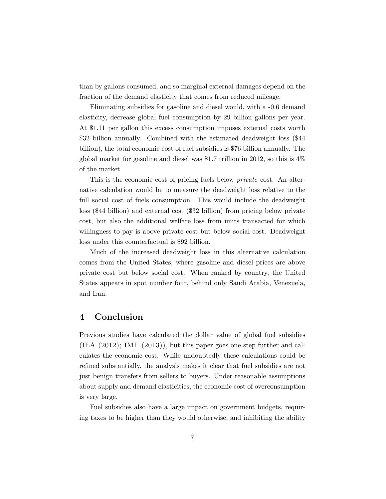than by gallons consumed, and so marginal external damages depend on the fraction of the demand elasticity that comes from reduced mileage.

Eliminating subsidies for gasoline and diesel would, with a -0.6 demand elasticity, decrease global fuel consumption by 29 billion gallons per year. At \$1.11 per gallon this excess consumption imposes external costs worth \$32 billion annually. Combined with the estimated deadweight loss (\$44 billion), the total economic cost of fuel subsidies is \$76 billion annually. The global market for gasoline and diesel was \$1.7 trillion in 2012, so this is 4% of the market.

This is the economic cost of pricing fuels below *private* cost. An alternative calculation would be to measure the deadweight loss relative to the full social cost of fuels consumption. This would include the deadweight loss (\$44 billion) and external cost (\$32 billion) from pricing below private cost, but also the additional welfare loss from units transacted for which willingness-to-pay is above private cost but below social cost. Deadweight loss under this counterfactual is \$92 billion.

Much of the increased deadweight loss in this alternative calculation comes from the United States, where gasoline and diesel prices are above private cost but below social cost. When ranked by country, the United States appears in spot number four, behind only Saudi Arabia, Venezuela, and Iran.

#### 4 Conclusion

Previous studies have calculated the dollar value of global fuel subsidies  $(IEA (2012); IMF (2013)), but this paper goes one step further and cal$ culates the economic cost. While undoubtedly these calculations could be refined substantially, the analysis makes it clear that fuel subsidies are not just benign transfers from sellers to buyers. Under reasonable assumptions about supply and demand elasticities, the economic cost of overconsumption is very large.

Fuel subsidies also have a large impact on government budgets, requiring taxes to be higher than they would otherwise, and inhibiting the ability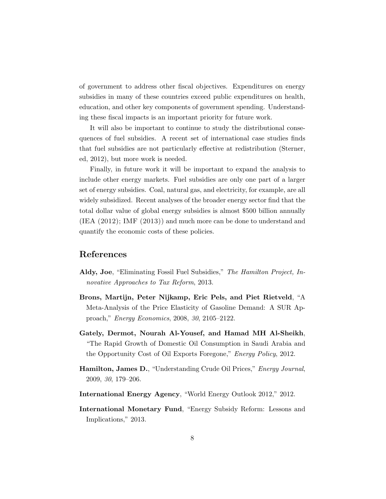of government to address other fiscal objectives. Expenditures on energy subsidies in many of these countries exceed public expenditures on health, education, and other key components of government spending. Understanding these fiscal impacts is an important priority for future work.

It will also be important to continue to study the distributional consequences of fuel subsidies. A recent set of international case studies finds that fuel subsidies are not particularly effective at redistribution (Sterner, ed, 2012), but more work is needed.

Finally, in future work it will be important to expand the analysis to include other energy markets. Fuel subsidies are only one part of a larger set of energy subsidies. Coal, natural gas, and electricity, for example, are all widely subsidized. Recent analyses of the broader energy sector find that the total dollar value of global energy subsidies is almost \$500 billion annually (IEA (2012); IMF (2013)) and much more can be done to understand and quantify the economic costs of these policies.

#### References

- Aldy, Joe, "Eliminating Fossil Fuel Subsidies," *The Hamilton Project, Innovative Approaches to Tax Reform*, 2013.
- Brons, Martijn, Peter Nijkamp, Eric Pels, and Piet Rietveld, "A Meta-Analysis of the Price Elasticity of Gasoline Demand: A SUR Approach," *Energy Economics*, 2008, *30*, 2105–2122.
- Gately, Dermot, Nourah Al-Yousef, and Hamad MH Al-Sheikh, "The Rapid Growth of Domestic Oil Consumption in Saudi Arabia and the Opportunity Cost of Oil Exports Foregone," *Energy Policy*, 2012.
- Hamilton, James D., "Understanding Crude Oil Prices," *Energy Journal*, 2009, *30*, 179–206.
- International Energy Agency, "World Energy Outlook 2012," 2012.
- International Monetary Fund, "Energy Subsidy Reform: Lessons and Implications," 2013.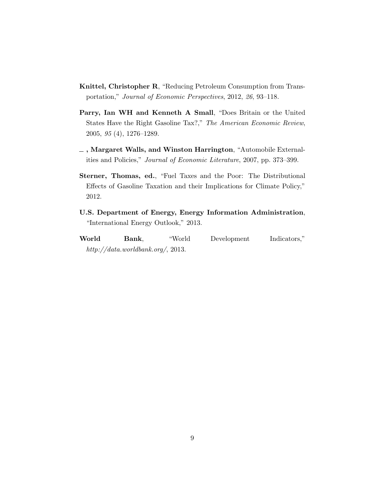- Knittel, Christopher R, "Reducing Petroleum Consumption from Transportation," *Journal of Economic Perspectives*, 2012, *26*, 93–118.
- Parry, Ian WH and Kenneth A Small, "Does Britain or the United States Have the Right Gasoline Tax?," *The American Economic Review*, 2005, *95* (4), 1276–1289.
- , Margaret Walls, and Winston Harrington, "Automobile Externalities and Policies," *Journal of Economic Literature*, 2007, pp. 373–399.
- Sterner, Thomas, ed., "Fuel Taxes and the Poor: The Distributional Effects of Gasoline Taxation and their Implications for Climate Policy," 2012.
- U.S. Department of Energy, Energy Information Administration, "International Energy Outlook," 2013.

World Bank, "World Development Indicators," *http://data.worldbank.org/*, 2013.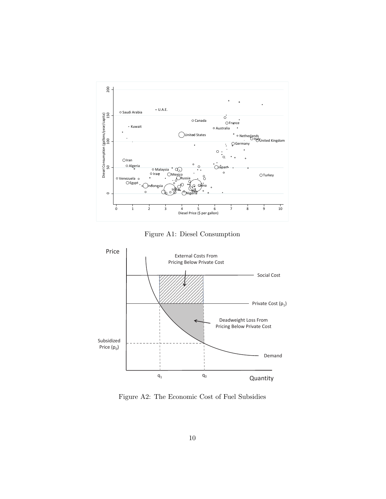

Figure A1: Diesel Consumption



Figure A2: The Economic Cost of Fuel Subsidies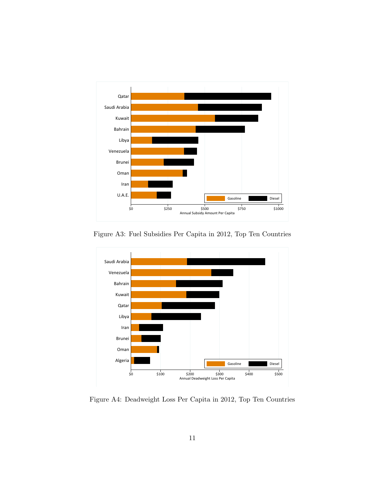

Figure A3: Fuel Subsidies Per Capita in 2012, Top Ten Countries



Figure A4: Deadweight Loss Per Capita in 2012, Top Ten Countries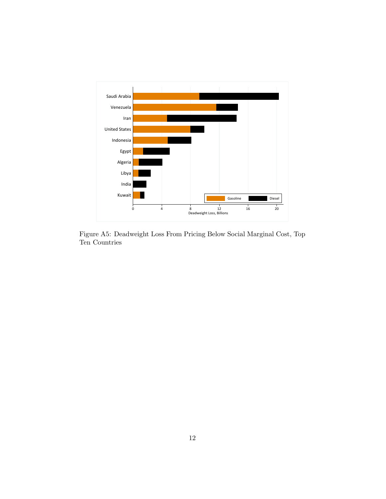

Figure A5: Deadweight Loss From Pricing Below Social Marginal Cost, Top Ten Countries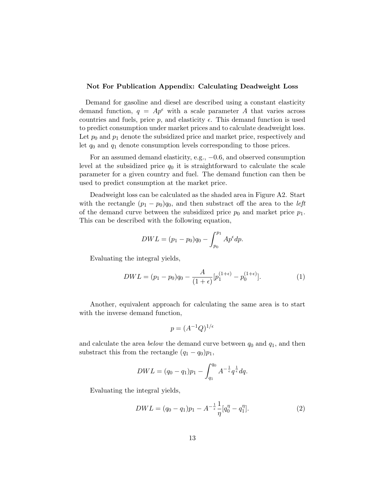#### Not For Publication Appendix: Calculating Deadweight Loss

Demand for gasoline and diesel are described using a constant elasticity demand function,  $q = Ap^{\epsilon}$  with a scale parameter A that varies across countries and fuels, price  $p$ , and elasticity  $\epsilon$ . This demand function is used to predict consumption under market prices and to calculate deadweight loss. Let  $p_0$  and  $p_1$  denote the subsidized price and market price, respectively and let *q*<sup>0</sup> and *q*<sup>1</sup> denote consumption levels corresponding to those prices.

For an assumed demand elasticity, e.g.,  $-0.6$ , and observed consumption level at the subsidized price  $q_0$  it is straightforward to calculate the scale parameter for a given country and fuel. The demand function can then be used to predict consumption at the market price.

Deadweight loss can be calculated as the shaded area in Figure A2. Start with the rectangle  $(p_1 - p_0)q_0$ , and then substract off the area to the *left* of the demand curve between the subsidized price  $p_0$  and market price  $p_1$ . This can be described with the following equation,

$$
DWL = (p_1 - p_0)q_0 - \int_{p_0}^{p_1} Ap^{\epsilon} dp.
$$

Evaluating the integral yields,

$$
DWL = (p_1 - p_0)q_0 - \frac{A}{(1+\epsilon)}[p_1^{(1+\epsilon)} - p_0^{(1+\epsilon)}].
$$
\n(1)

Another, equivalent approach for calculating the same area is to start with the inverse demand function,

$$
p = (A^{-1}Q)^{1/\epsilon}
$$

and calculate the area *below* the demand curve between *q*<sup>0</sup> and *q*1, and then substract this from the rectangle  $(q_1 - q_0)p_1$ ,

$$
DWL = (q_0 - q_1)p_1 - \int_{q_1}^{q_0} A^{-\frac{1}{\epsilon}} q^{\frac{1}{\epsilon}} dq.
$$

Evaluating the integral yields,

$$
DWL = (q_0 - q_1)p_1 - A^{-\frac{1}{\epsilon}} \frac{1}{\eta} [q_0^{\eta} - q_1^{\eta}]. \tag{2}
$$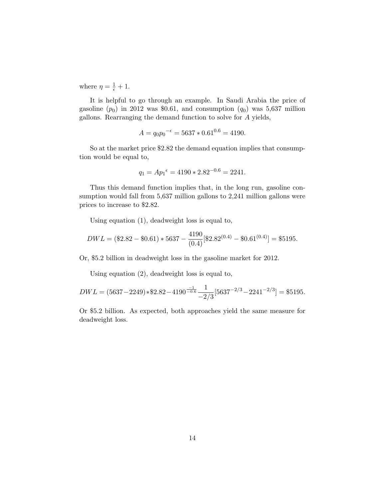where  $\eta = \frac{1}{\epsilon} + 1$ .

It is helpful to go through an example. In Saudi Arabia the price of gasoline  $(p_0)$  in 2012 was \$0.61, and consumption  $(q_0)$  was 5,637 million gallons. Rearranging the demand function to solve for *A* yields,

$$
A = q_0 p_0^{-\epsilon} = 5637 \times 0.61^{0.6} = 4190.
$$

So at the market price \$2.82 the demand equation implies that consumption would be equal to,

$$
q_1 = Ap_1^{\epsilon} = 4190 \times 2.82^{-0.6} = 2241.
$$

Thus this demand function implies that, in the long run, gasoline consumption would fall from 5,637 million gallons to 2,241 million gallons were prices to increase to \$2.82.

Using equation (1), deadweight loss is equal to,

$$
DWL = (\$2.82 - \$0.61) * 5637 - \frac{4190}{(0.4)}[\$2.82^{(0.4)} - \$0.61^{(0.4)}] = \$5195.
$$

Or, \$5.2 billion in deadweight loss in the gasoline market for 2012.

Using equation (2), deadweight loss is equal to,

$$
DWL = (5637 - 2249) * $2.82 - 4190^{\frac{-1}{-0.6}} \frac{1}{-2/3} [5637^{-2/3} - 2241^{-2/3}] = $5195.
$$

Or \$5.2 billion. As expected, both approaches yield the same measure for deadweight loss.